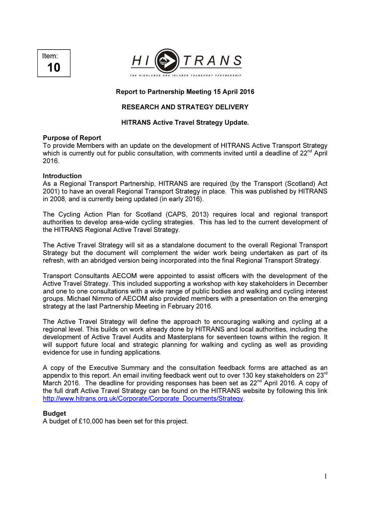



## Report to Partnership Meeting 15 April 2016

# RESEARCH AND STRATEGY DELIVERY

## HITRANS Active Travel Strategy Update.

#### Purpose of Report

To provide Members with an update on the development of HITRANS Active Transport Strategy which is currently out for public consultation, with comments invited until a deadline of 22<sup>nd</sup> April 2016.

#### Introduction

As a Regional Transport Partnership, HITRANS are required (by the Transport (Scotland) Act 2001) to have an overall Regional Transport Strategy in place. This was published by HITRANS in 2008, and is currently being updated (in early 2016).

The Cycling Action Plan for Scotland (CAPS, 2013) requires local and regional transport authorities to develop area-wide cycling strategies. This has led to the current development of the HITRANS Regional Active Travel Strategy.

The Active Travel Strategy will sit as a standalone document to the overall Regional Transport Strategy but the document will complement the wider work being undertaken as part of its refresh, with an abridged version being incorporated into the final Regional Transport Strategy.

Transport Consultants AECOM were appointed to assist officers with the development of the Active Travel Strategy. This included supporting a workshop with key stakeholders in December and one to one consultations with a wide range of public bodies and walking and cycling interest groups. Michael Nimmo of AECOM also provided members with a presentation on the emerging strategy at the last Partnership Meeting in February 2016.

The Active Travel Strategy will define the approach to encouraging walking and cycling at a regional level. This builds on work already done by HITRANS and local authorities, including the development of Active Travel Audits and Masterplans for seventeen towns within the region. It will support future local and strategic planning for walking and cycling as well as providing evidence for use in funding applications.

A copy of the Executive Summary and the consultation feedback forms are attached as an appendix to this report. An email inviting feedback went out to over 130 key stakeholders on 23<sup>rd</sup> March 2016. The deadline for providing responses has been set as 22<sup>nd</sup> April 2016. A copy of the full draft Active Travel Strategy can be found on the HITRANS website by following this link http://www.hitrans.org.uk/Corporate/Corporate\_Documents/Strategy.

#### **Budget**

A budget of £10,000 has been set for this project.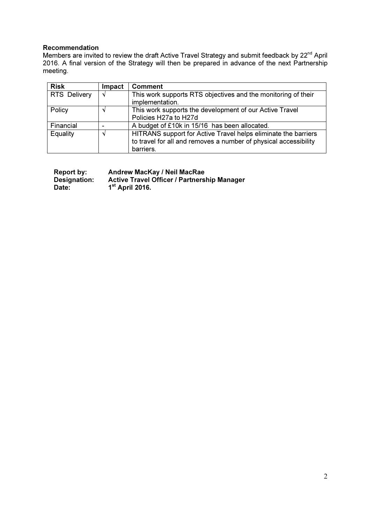## Recommendation

Members are invited to review the draft Active Travel Strategy and submit feedback by 22<sup>nd</sup> April 2016. A final version of the Strategy will then be prepared in advance of the next Partnership meeting.

| <b>Risk</b>         | Impact | <b>Comment</b>                                                                                                                                  |
|---------------------|--------|-------------------------------------------------------------------------------------------------------------------------------------------------|
| <b>RTS Delivery</b> | N      | This work supports RTS objectives and the monitoring of their<br>implementation.                                                                |
| Policy              |        | This work supports the development of our Active Travel<br>Policies H27a to H27d                                                                |
| Financial           |        | A budget of £10k in 15/16 has been allocated.                                                                                                   |
| Equality            |        | HITRANS support for Active Travel helps eliminate the barriers<br>to travel for all and removes a number of physical accessibility<br>barriers. |

| Report by:   | <b>Andrew MacKay / Neil MacRae</b>                 |
|--------------|----------------------------------------------------|
| Designation: | <b>Active Travel Officer / Partnership Manager</b> |
| Date:        | $1st$ April 2016.                                  |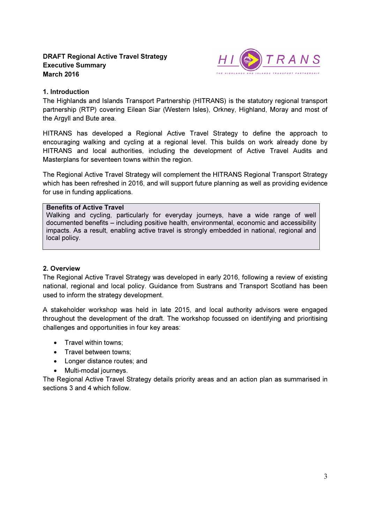# DRAFT Regional Active Travel Strategy Executive Summary March 2016



## 1. Introduction

The Highlands and Islands Transport Partnership (HITRANS) is the statutory regional transport partnership (RTP) covering Eilean Siar (Western Isles), Orkney, Highland, Moray and most of the Argyll and Bute area.

HITRANS has developed a Regional Active Travel Strategy to define the approach to encouraging walking and cycling at a regional level. This builds on work already done by HITRANS and local authorities, including the development of Active Travel Audits and Masterplans for seventeen towns within the region.

The Regional Active Travel Strategy will complement the HITRANS Regional Transport Strategy which has been refreshed in 2016, and will support future planning as well as providing evidence for use in funding applications.

#### Benefits of Active Travel

Walking and cycling, particularly for everyday journeys, have a wide range of well documented benefits – including positive health, environmental, economic and accessibility impacts. As a result, enabling active travel is strongly embedded in national, regional and local policy.

# 2. Overview

The Regional Active Travel Strategy was developed in early 2016, following a review of existing national, regional and local policy. Guidance from Sustrans and Transport Scotland has been used to inform the strategy development.

A stakeholder workshop was held in late 2015, and local authority advisors were engaged throughout the development of the draft. The workshop focussed on identifying and prioritising challenges and opportunities in four key areas:

- Travel within towns:
- Travel between towns:
- Longer distance routes; and
- Multi-modal journeys.

The Regional Active Travel Strategy details priority areas and an action plan as summarised in sections 3 and 4 which follow.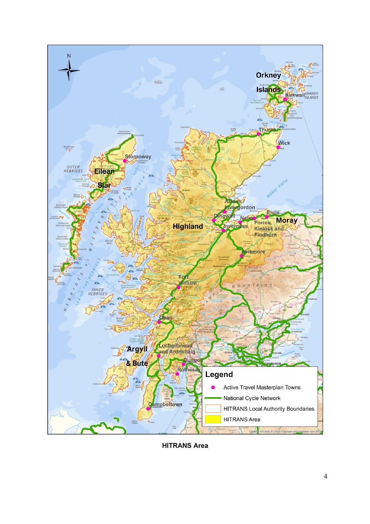

HITRANS Area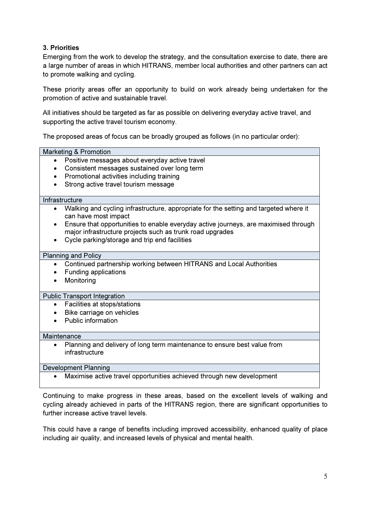# 3. Priorities

Emerging from the work to develop the strategy, and the consultation exercise to date, there are a large number of areas in which HITRANS, member local authorities and other partners can act to promote walking and cycling.

These priority areas offer an opportunity to build on work already being undertaken for the promotion of active and sustainable travel.

All initiatives should be targeted as far as possible on delivering everyday active travel, and supporting the active travel tourism economy.

The proposed areas of focus can be broadly grouped as follows (in no particular order):

| <b>Marketing &amp; Promotion</b>                                                                                                                 |  |  |  |  |
|--------------------------------------------------------------------------------------------------------------------------------------------------|--|--|--|--|
| Positive messages about everyday active travel<br>$\bullet$                                                                                      |  |  |  |  |
| Consistent messages sustained over long term                                                                                                     |  |  |  |  |
| Promotional activities including training                                                                                                        |  |  |  |  |
| Strong active travel tourism message                                                                                                             |  |  |  |  |
|                                                                                                                                                  |  |  |  |  |
| Infrastructure                                                                                                                                   |  |  |  |  |
| Walking and cycling infrastructure, appropriate for the setting and targeted where it<br>can have most impact                                    |  |  |  |  |
| Ensure that opportunities to enable everyday active journeys, are maximised through<br>major infrastructure projects such as trunk road upgrades |  |  |  |  |
| Cycle parking/storage and trip end facilities                                                                                                    |  |  |  |  |
| <b>Planning and Policy</b>                                                                                                                       |  |  |  |  |
| Continued partnership working between HITRANS and Local Authorities                                                                              |  |  |  |  |
| <b>Funding applications</b>                                                                                                                      |  |  |  |  |
| Monitoring                                                                                                                                       |  |  |  |  |
| <b>Public Transport Integration</b>                                                                                                              |  |  |  |  |
| Facilities at stops/stations<br>$\bullet$                                                                                                        |  |  |  |  |
| Bike carriage on vehicles                                                                                                                        |  |  |  |  |
| <b>Public information</b>                                                                                                                        |  |  |  |  |
| Maintenance                                                                                                                                      |  |  |  |  |
| Planning and delivery of long term maintenance to ensure best value from<br>infrastructure                                                       |  |  |  |  |
| <b>Development Planning</b>                                                                                                                      |  |  |  |  |
| Maximise active travel opportunities achieved through new development                                                                            |  |  |  |  |

Continuing to make progress in these areas, based on the excellent levels of walking and cycling already achieved in parts of the HITRANS region, there are significant opportunities to further increase active travel levels.

This could have a range of benefits including improved accessibility, enhanced quality of place including air quality, and increased levels of physical and mental health.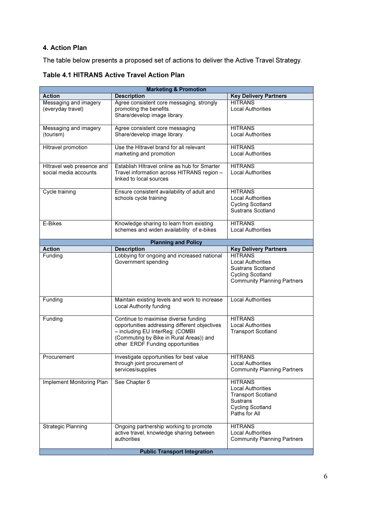# 4. Action Plan

The table below presents a proposed set of actions to deliver the Active Travel Strategy.

| <b>Marketing &amp; Promotion</b>                   |                                                                                                                                                                                                         |                                                                                                                                        |  |  |
|----------------------------------------------------|---------------------------------------------------------------------------------------------------------------------------------------------------------------------------------------------------------|----------------------------------------------------------------------------------------------------------------------------------------|--|--|
| <b>Action</b>                                      | <b>Description</b>                                                                                                                                                                                      | <b>Key Delivery Partners</b>                                                                                                           |  |  |
| Messaging and imagery<br>(everyday travel)         | Agree consistent core messaging, strongly<br>promoting the benefits.<br>Share/develop image library.                                                                                                    | <b>HITRANS</b><br><b>Local Authorities</b>                                                                                             |  |  |
| Messaging and imagery<br>(tourism)                 | Agree consistent core messaging<br>Share/develop image library.                                                                                                                                         | <b>HITRANS</b><br><b>Local Authorities</b>                                                                                             |  |  |
| <b>HItravel promotion</b>                          | Use the Hitravel brand for all relevant<br>marketing and promotion                                                                                                                                      | <b>HITRANS</b><br><b>Local Authorities</b>                                                                                             |  |  |
| Hitravel web presence and<br>social media accounts | Establish HItravel online as hub for Smarter<br>Travel information across HITRANS region -<br>linked to local sources                                                                                   | <b>HITRANS</b><br><b>Local Authorities</b>                                                                                             |  |  |
| Cycle training                                     | Ensure consistent availability of adult and<br>schools cycle training                                                                                                                                   | <b>HITRANS</b><br><b>Local Authorities</b><br><b>Cycling Scotland</b><br><b>Sustrans Scotland</b>                                      |  |  |
| E-Bikes                                            | Knowledge sharing to learn from existing<br>schemes and widen availability of e-bikes                                                                                                                   | <b>HITRANS</b><br><b>Local Authorities</b>                                                                                             |  |  |
|                                                    | <b>Planning and Policy</b>                                                                                                                                                                              |                                                                                                                                        |  |  |
| <b>Action</b>                                      | <b>Description</b>                                                                                                                                                                                      | <b>Key Delivery Partners</b>                                                                                                           |  |  |
| Funding                                            | Lobbying for ongoing and increased national<br>Government spending                                                                                                                                      | <b>HITRANS</b><br><b>Local Authorities</b><br>Sustrans Scotland<br><b>Cycling Scotland</b><br><b>Community Planning Partners</b>       |  |  |
| Funding                                            | Maintain existing levels and work to increase<br>Local Authority funding                                                                                                                                | <b>Local Authorities</b>                                                                                                               |  |  |
| Funding                                            | Continue to maximise diverse funding<br>opportunities addressing different objectives<br>- including EU InterReg: (COMBI<br>(Commuting by Bike in Rural Areas)) and<br>other ERDF Funding opportunities | <b>HITRANS</b><br><b>Local Authorities</b><br><b>Transport Scotland</b>                                                                |  |  |
| Procurement                                        | Investigate opportunities for best value<br>through joint procurement of<br>services/supplies                                                                                                           | <b>HITRANS</b><br>Local Authorities<br><b>Community Planning Partners</b>                                                              |  |  |
| Implement Monitoring Plan                          | See Chapter 6                                                                                                                                                                                           | <b>HITRANS</b><br><b>Local Authorities</b><br><b>Transport Scotland</b><br><b>Sustrans</b><br><b>Cycling Scotland</b><br>Paths for All |  |  |
| <b>Strategic Planning</b>                          | Ongoing partnership working to promote<br>active travel, knowledge sharing between<br>authorities                                                                                                       | <b>HITRANS</b><br><b>Local Authorities</b><br><b>Community Planning Partners</b>                                                       |  |  |
| <b>Public Transport Integration</b>                |                                                                                                                                                                                                         |                                                                                                                                        |  |  |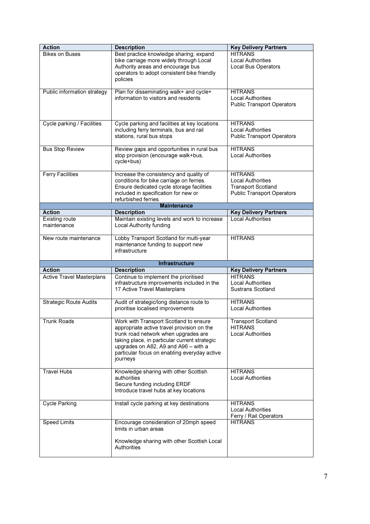| <b>Action</b>                        | <b>Description</b>                                                               | <b>Key Delivery Partners</b>                                  |
|--------------------------------------|----------------------------------------------------------------------------------|---------------------------------------------------------------|
| <b>Bikes on Buses</b>                | Best practice knowledge sharing; expand                                          | <b>HITRANS</b>                                                |
|                                      | bike carriage more widely through Local                                          | <b>Local Authorities</b>                                      |
|                                      | Authority areas and encourage bus                                                | <b>Local Bus Operators</b>                                    |
|                                      | operators to adopt consistent bike friendly                                      |                                                               |
|                                      | policies                                                                         |                                                               |
|                                      |                                                                                  |                                                               |
| Public information strategy          | Plan for disseminating walk+ and cycle+<br>information to visitors and residents | <b>HITRANS</b>                                                |
|                                      |                                                                                  | <b>Local Authorities</b><br><b>Public Transport Operators</b> |
|                                      |                                                                                  |                                                               |
|                                      |                                                                                  |                                                               |
| Cycle parking / Facilities           | Cycle parking and facilities at key locations                                    | <b>HITRANS</b>                                                |
|                                      | including ferry terminals, bus and rail                                          | <b>Local Authorities</b>                                      |
|                                      | stations, rural bus stops                                                        | <b>Public Transport Operators</b>                             |
|                                      |                                                                                  |                                                               |
| <b>Bus Stop Review</b>               | Review gaps and opportunities in rural bus                                       | <b>HITRANS</b>                                                |
|                                      | stop provision (encourage walk+bus,                                              | <b>Local Authorities</b>                                      |
|                                      | cycle+bus)                                                                       |                                                               |
| <b>Ferry Facilities</b>              | Increase the consistency and quality of                                          | <b>HITRANS</b>                                                |
|                                      | conditions for bike carriage on ferries.                                         | <b>Local Authorities</b>                                      |
|                                      | Ensure dedicated cycle storage facilities                                        | <b>Transport Scotland</b>                                     |
|                                      | included in specification for new or                                             | <b>Public Transport Operators</b>                             |
|                                      | refurbished ferries.                                                             |                                                               |
|                                      | <b>Maintenance</b>                                                               |                                                               |
| Action                               | <b>Description</b>                                                               | <b>Key Delivery Partners</b>                                  |
| <b>Existing route</b><br>maintenance | Maintain existing levels and work to increase<br>Local Authority funding         | <b>Local Authorities</b>                                      |
|                                      |                                                                                  |                                                               |
| New route maintenance                | Lobby Transport Scotland for multi-year                                          | <b>HITRANS</b>                                                |
|                                      | maintenance funding to support new                                               |                                                               |
|                                      | infrastructure                                                                   |                                                               |
|                                      |                                                                                  |                                                               |
| <b>Action</b>                        | <b>Infrastructure</b><br><b>Description</b>                                      | <b>Key Delivery Partners</b>                                  |
| <b>Active Travel Masterplans</b>     | Continue to implement the prioritised                                            | <b>HITRANS</b>                                                |
|                                      | infrastructure improvements included in the                                      | <b>Local Authorities</b>                                      |
|                                      | 17 Active Travel Masterplans                                                     | Sustrans Scotland                                             |
|                                      |                                                                                  |                                                               |
| <b>Strategic Route Audits</b>        | Audit of strategic/long distance route to                                        | <b>HITRANS</b>                                                |
|                                      | prioritise localised improvements                                                | <b>Local Authorities</b>                                      |
|                                      |                                                                                  |                                                               |
| <b>Trunk Roads</b>                   |                                                                                  |                                                               |
|                                      | Work with Transport Scotland to ensure                                           | <b>Transport Scotland</b>                                     |
|                                      | appropriate active travel provision on the                                       | <b>HITRANS</b>                                                |
|                                      | trunk road network when upgrades are                                             | <b>Local Authorities</b>                                      |
|                                      | taking place, in particular current strategic                                    |                                                               |
|                                      | upgrades on A82, A9 and A96 - with a                                             |                                                               |
|                                      | particular focus on enabling everyday active                                     |                                                               |
|                                      | journeys                                                                         |                                                               |
| <b>Travel Hubs</b>                   | Knowledge sharing with other Scottish                                            | <b>HITRANS</b>                                                |
|                                      | authorities                                                                      | <b>Local Authorities</b>                                      |
|                                      | Secure funding including ERDF                                                    |                                                               |
|                                      | Introduce travel hubs at key locations                                           |                                                               |
|                                      |                                                                                  |                                                               |
| <b>Cycle Parking</b>                 | Install cycle parking at key destinations                                        | <b>HITRANS</b>                                                |
|                                      |                                                                                  | <b>Local Authorities</b>                                      |
|                                      |                                                                                  | Ferry / Rail Operators                                        |
| <b>Speed Limits</b>                  | Encourage consideration of 20mph speed<br>limits in urban areas                  | <b>HITRANS</b>                                                |
|                                      |                                                                                  |                                                               |
|                                      | Knowledge sharing with other Scottish Local                                      |                                                               |
|                                      | Authorities                                                                      |                                                               |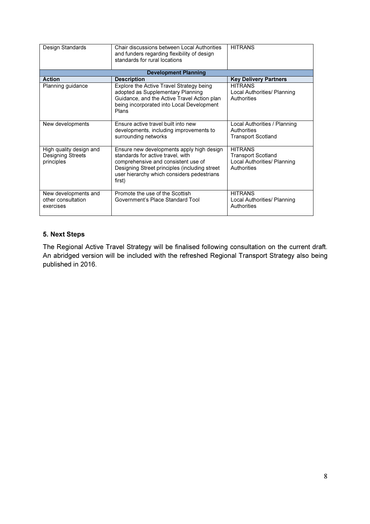| Design Standards                                                  | Chair discussions between Local Authorities<br>and funders regarding flexibility of design<br>standards for rural locations                                                                                                    | <b>HITRANS</b>                                                                            |  |  |  |  |
|-------------------------------------------------------------------|--------------------------------------------------------------------------------------------------------------------------------------------------------------------------------------------------------------------------------|-------------------------------------------------------------------------------------------|--|--|--|--|
| <b>Development Planning</b>                                       |                                                                                                                                                                                                                                |                                                                                           |  |  |  |  |
| <b>Action</b>                                                     | <b>Description</b>                                                                                                                                                                                                             | <b>Key Delivery Partners</b>                                                              |  |  |  |  |
| Planning guidance                                                 | Explore the Active Travel Strategy being<br>adopted as Supplementary Planning<br>Guidance, and the Active Travel Action plan<br>being incorporated into Local Development<br>Plans                                             | <b>HITRANS</b><br>Local Authorities/ Planning<br>Authorities                              |  |  |  |  |
| New developments                                                  | Ensure active travel built into new<br>developments, including improvements to<br>surrounding networks                                                                                                                         | Local Authorities / Planning<br>Authorities<br><b>Transport Scotland</b>                  |  |  |  |  |
| High quality design and<br><b>Designing Streets</b><br>principles | Ensure new developments apply high design<br>standards for active travel, with<br>comprehensive and consistent use of<br>Designing Street principles (including street<br>user hierarchy which considers pedestrians<br>first) | <b>HITRANS</b><br><b>Transport Scotland</b><br>Local Authorities/ Planning<br>Authorities |  |  |  |  |
| New developments and<br>other consultation<br>exercises           | Promote the use of the Scottish<br>Government's Place Standard Tool                                                                                                                                                            | <b>HITRANS</b><br>Local Authorities/ Planning<br>Authorities                              |  |  |  |  |

# 5. Next Steps

The Regional Active Travel Strategy will be finalised following consultation on the current draft. An abridged version will be included with the refreshed Regional Transport Strategy also being published in 2016.